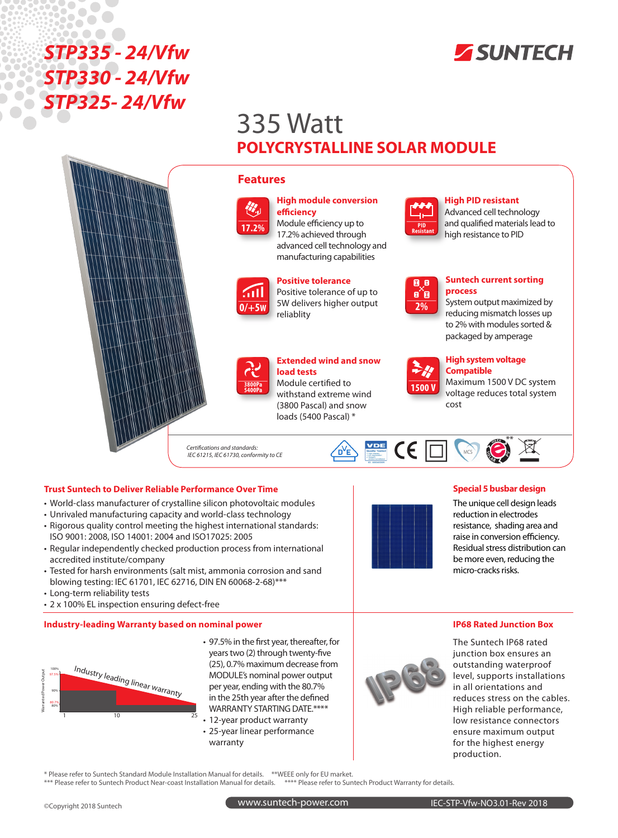



# 335 Watt **POLYCRYSTALLINE SOLAR MODULE**

### **Features**



## **High module conversion efficiency** Module efficiency up to

17.2% achieved through advanced cell technology and manufacturing capabilities



**Positive tolerance** Positive tolerance of up to 5W delivers higher output

## **3800Pa 5400Pa**

## **Extended wind and snow load tests**

Module certified to withstand extreme wind (3800 Pascal) and snow loads (5400 Pascal) \*

*Certifications and standards:*

## *IEC 61215, IEC 61730, conformity to CE*

#### **Trust Suntech to Deliver Reliable Performance Over Time**

- World-class manufacturer of crystalline silicon photovoltaic modules
- Unrivaled manufacturing capacity and world-class technology
- Rigorous quality control meeting the highest international standards: ISO 9001: 2008, ISO 14001: 2004 and ISO17025: 2005
- Regular independently checked production process from international accredited institute/company
- Tested for harsh environments (salt mist, ammonia corrosion and sand blowing testing: IEC 61701, IEC 62716, DIN EN 60068-2-68)\*\*\*

\* Please refer to Suntech Standard Module Installation Manual for details. \*\*WEEE only for EU market.

- Long-term reliability tests
- 2 x 100% EL inspection ensuring defect-free

#### **Industry-leading Warranty based on nominal power**



- 97.5% in the first year, thereafter, for years two (2) through twenty-five (25), 0.7% maximum decrease from MODULE's nominal power output per year, ending with the 80.7% in the 25th year after the defined WARRANTY STARTING DATE.\*\*\*\*
- 12-year product warranty • 25-year linear performance warranty

\*\*\* Please refer to Suntech Product Near-coast Installation Manual for details. \*\*\*\* Please refer to Suntech Product Warranty for details.



The Suntech IP68 rated junction box ensures an outstanding waterproof level, supports installations in all orientations and reduces stress on the cables. High reliable performance, low resistance connectors ensure maximum output for the highest energy production.

**1500 V**

**2%**

同日 o^o

**PID Resistant**

#### **High system voltage Compatible**

**Suntech current sorting** 

**High PID resistant**  Advanced cell technology and qualified materials lead to high resistance to PID

System output maximized by reducing mismatch losses up to 2% with modules sorted & packaged by amperage

**process**

Maximum 1500 V DC system voltage reduces total system cost





### **Special 5 busbar design**

The unique cell design leads reduction in electrodes resistance, shading area and raise in conversion efficiency. Residual stress distribution can be more even, reducing the micro-cracks risks.

## **IP68 Rated Junction Box**